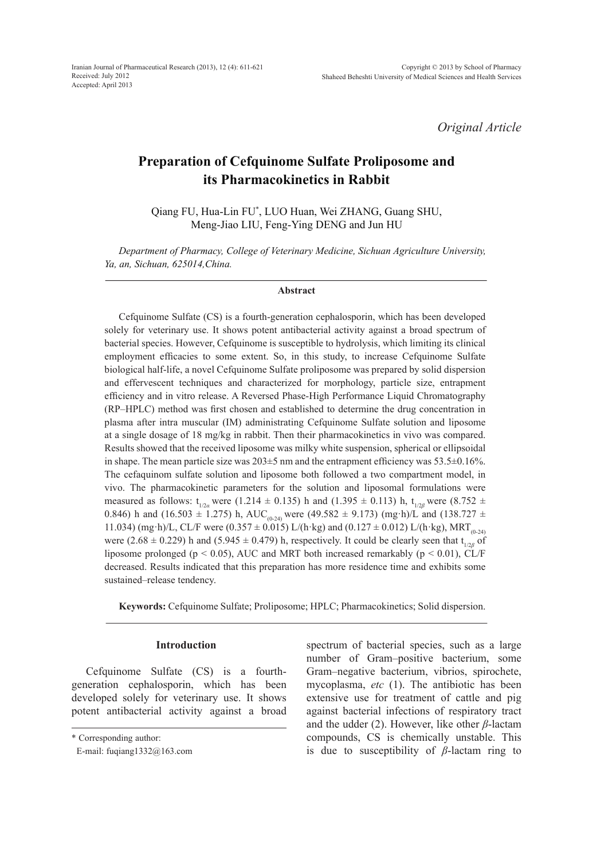*Original Article*

# **Preparation of Cefquinome Sulfate Proliposome and its Pharmacokinetics in Rabbit**

Qiang FU, Hua-Lin FU\* , LUO Huan, Wei ZHANG, Guang SHU, Meng-Jiao LIU, Feng-Ying DENG and Jun HU

*Department of Pharmacy, College of Veterinary Medicine, Sichuan Agriculture University, Ya, an, Sichuan, 625014,China.*

#### **Abstract**

Cefquinome Sulfate (CS) is a fourth-generation cephalosporin, which has been developed solely for veterinary use. It shows potent antibacterial activity against a broad spectrum of bacterial species. However, Cefquinome is susceptible to hydrolysis, which limiting its clinical employment efficacies to some extent. So, in this study, to increase Cefquinome Sulfate biological half-life, a novel Cefquinome Sulfate proliposome was prepared by solid dispersion and effervescent techniques and characterized for morphology, particle size, entrapment efficiency and in vitro release. A Reversed Phase-High Performance Liquid Chromatography (RP–HPLC) method was first chosen and established to determine the drug concentration in plasma after intra muscular (IM) administrating Cefquinome Sulfate solution and liposome at a single dosage of 18 mg/kg in rabbit. Then their pharmacokinetics in vivo was compared. Results showed that the received liposome was milky white suspension, spherical or ellipsoidal in shape. The mean particle size was 203±5 nm and the entrapment efficiency was 53.5±0.16%. The cefaquinom sulfate solution and liposome both followed a two compartment model, in vivo. The pharmacokinetic parameters for the solution and liposomal formulations were measured as follows:  $t_{1/2a}$  were (1.214  $\pm$  0.135) h and (1.395  $\pm$  0.113) h,  $t_{1/2*B*}$  were (8.752  $\pm$ 0.846) h and (16.503  $\pm$  1.275) h, AUC<sub>(0-24)</sub> were (49.582  $\pm$  9.173) (mg·h)/L and (138.727  $\pm$ 11.034) (mg·h)/L, CL/F were (0.357  $\pm$  0.015) L/(h·kg) and (0.127  $\pm$  0.012) L/(h·kg), MRT<sub>(0.24)</sub> were  $(2.68 \pm 0.229)$  h and  $(5.945 \pm 0.479)$  h, respectively. It could be clearly seen that t<sub>1/2*β*</sub> of liposome prolonged ( $p < 0.05$ ), AUC and MRT both increased remarkably ( $p < 0.01$ ), CL/F decreased. Results indicated that this preparation has more residence time and exhibits some sustained–release tendency.

**Keywords:** Cefquinome Sulfate; Proliposome; HPLC; Pharmacokinetics; Solid dispersion.

## **Introduction**

Cefquinome Sulfate (CS) is a fourthgeneration cephalosporin, which has been developed solely for veterinary use. It shows potent antibacterial activity against a broad spectrum of bacterial species, such as a large number of Gram–positive bacterium, some Gram–negative bacterium, vibrios, spirochete, mycoplasma, *etc* (1). The antibiotic has been extensive use for treatment of cattle and pig against bacterial infections of respiratory tract and the udder (2). However, like other *β*-lactam compounds, CS is chemically unstable. This is due to susceptibility of *β*-lactam ring to

<sup>\*</sup> Corresponding author:

E-mail: fuqiang1332@163.com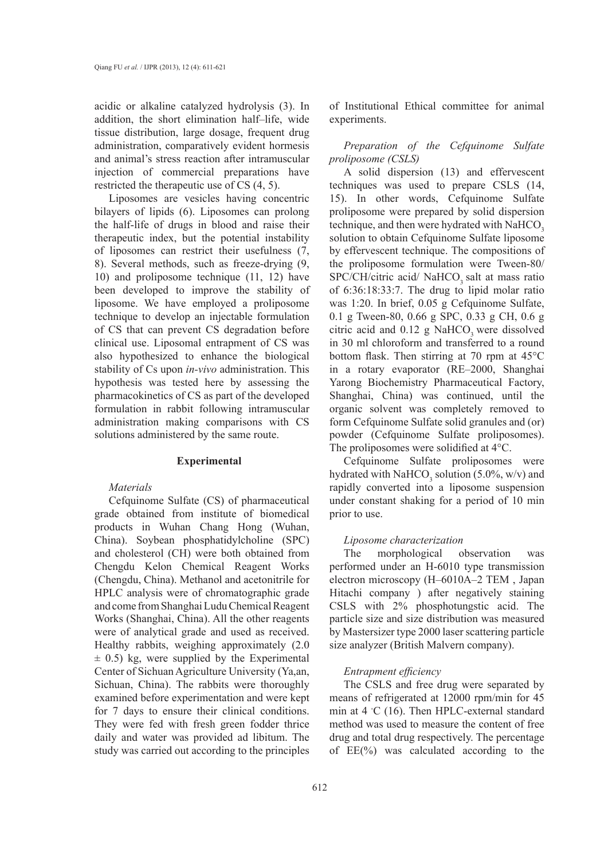acidic or alkaline catalyzed hydrolysis (3). In addition, the short elimination half–life, wide tissue distribution, large dosage, frequent drug administration, comparatively evident hormesis and animal's stress reaction after intramuscular injection of commercial preparations have restricted the therapeutic use of CS (4, 5).

Liposomes are vesicles having concentric bilayers of lipids (6). Liposomes can prolong the half-life of drugs in blood and raise their therapeutic index, but the potential instability of liposomes can restrict their usefulness (7, 8). Several methods, such as freeze-drying (9, 10) and proliposome technique (11, 12) have been developed to improve the stability of liposome. We have employed a proliposome technique to develop an injectable formulation of CS that can prevent CS degradation before clinical use. Liposomal entrapment of CS was also hypothesized to enhance the biological stability of Cs upon *in-vivo* administration. This hypothesis was tested here by assessing the pharmacokinetics of CS as part of the developed formulation in rabbit following intramuscular administration making comparisons with CS solutions administered by the same route.

## **Experimental**

## *Materials*

Cefquinome Sulfate (CS) of pharmaceutical grade obtained from institute of biomedical products in Wuhan Chang Hong (Wuhan, China). Soybean phosphatidylcholine (SPC) and cholesterol (CH) were both obtained from Chengdu Kelon Chemical Reagent Works (Chengdu, China). Methanol and acetonitrile for HPLC analysis were of chromatographic grade and come from Shanghai Ludu Chemical Reagent Works (Shanghai, China). All the other reagents were of analytical grade and used as received. Healthy rabbits, weighing approximately (2.0  $\pm$  0.5) kg, were supplied by the Experimental Center of Sichuan Agriculture University (Ya,an, Sichuan, China). The rabbits were thoroughly examined before experimentation and were kept for 7 days to ensure their clinical conditions. They were fed with fresh green fodder thrice daily and water was provided ad libitum. The study was carried out according to the principles

of Institutional Ethical committee for animal experiments.

*Preparation of the Cefquinome Sulfate proliposome (CSLS)*

A solid dispersion (13) and effervescent techniques was used to prepare CSLS (14, 15). In other words, Cefquinome Sulfate proliposome were prepared by solid dispersion technique, and then were hydrated with NaHCO<sub>2</sub> solution to obtain Cefquinome Sulfate liposome by effervescent technique. The compositions of the proliposome formulation were Tween-80/ SPC/CH/citric acid/ NaHCO<sub>3</sub> salt at mass ratio of 6:36:18:33:7. The drug to lipid molar ratio was 1:20. In brief, 0.05 g Cefquinome Sulfate, 0.1 g Tween-80, 0.66 g SPC, 0.33 g CH, 0.6 g citric acid and  $0.12$  g NaHCO<sub>2</sub> were dissolved in 30 ml chloroform and transferred to a round bottom flask. Then stirring at 70 rpm at 45°C in a rotary evaporator (RE–2000, Shanghai Yarong Biochemistry Pharmaceutical Factory, Shanghai, China) was continued, until the organic solvent was completely removed to form Cefquinome Sulfate solid granules and (or) powder (Cefquinome Sulfate proliposomes). The proliposomes were solidified at 4°C.

Cefquinome Sulfate proliposomes were hydrated with NaHCO<sub>3</sub> solution (5.0%, w/v) and rapidly converted into a liposome suspension under constant shaking for a period of 10 min prior to use.

#### *Liposome characterization*

The morphological observation was performed under an H-6010 type transmission electron microscopy (H–6010A–2 TEM , Japan Hitachi company ) after negatively staining CSLS with 2% phosphotungstic acid. The particle size and size distribution was measured by Mastersizer type 2000 laser scattering particle size analyzer (British Malvern company).

## *Entrapment efficiency*

The CSLS and free drug were separated by means of refrigerated at 12000 rpm/min for 45 min at 4 ℃ (16). Then HPLC-external standard method was used to measure the content of free drug and total drug respectively. The percentage of EE(%) was calculated according to the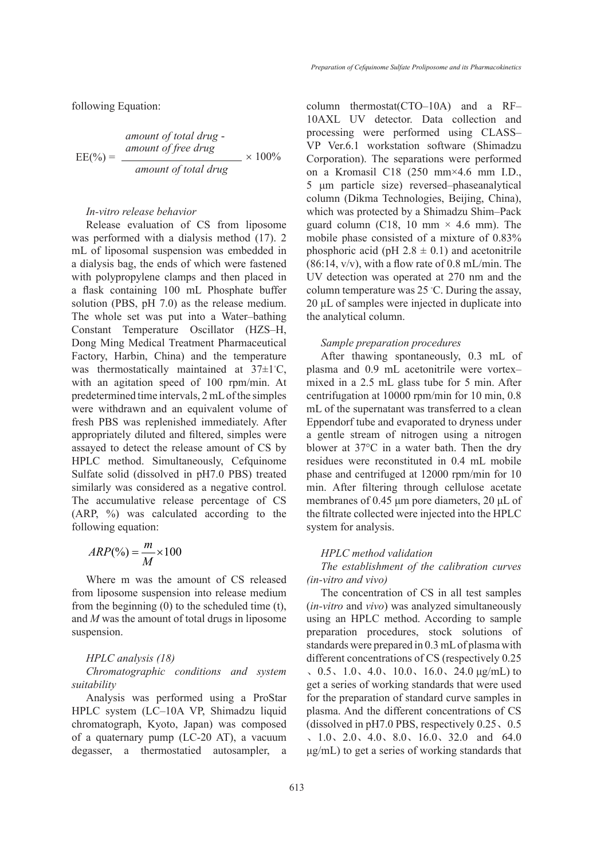following Equation:

amount of total drug -  
\n
$$
EE(\%) = \frac{amount\ of\ free\ drug}{amount\ of\ total\ drug} \times 100\%
$$

## *In-vitro release behavior*

Release evaluation of CS from liposome was performed with a dialysis method (17). 2 mL of liposomal suspension was embedded in a dialysis bag, the ends of which were fastened with polypropylene clamps and then placed in a flask containing 100 mL Phosphate buffer solution (PBS, pH 7.0) as the release medium. The whole set was put into a Water–bathing Constant Temperature Oscillator (HZS–H, Dong Ming Medical Treatment Pharmaceutical Factory, Harbin, China) and the temperature was thermostatically maintained at 37±1◦ C, with an agitation speed of 100 rpm/min. At predetermined time intervals, 2 mL of the simples were withdrawn and an equivalent volume of fresh PBS was replenished immediately. After appropriately diluted and filtered, simples were assayed to detect the release amount of CS by HPLC method. Simultaneously, Cefquinome Sulfate solid (dissolved in pH7.0 PBS) treated similarly was considered as a negative control. The accumulative release percentage of CS (ARP, %) was calculated according to the following equation:

$$
ARP(\% ) = \frac{m}{M} \times 100
$$

Where m was the amount of CS released from liposome suspension into release medium from the beginning (0) to the scheduled time (t), and *M* was the amount of total drugs in liposome suspension.

## *HPLC analysis (18)*

*Chromatographic conditions and system suitability*

Analysis was performed using a ProStar HPLC system (LC–10A VP, Shimadzu liquid chromatograph, Kyoto, Japan) was composed of a quaternary pump (LC-20 AT), a vacuum degasser, a thermostatied autosampler, a column thermostat(CTO–10A) and a RF– 10AXL UV detector. Data collection and processing were performed using CLASS– VP Ver.6.1 workstation software (Shimadzu Corporation). The separations were performed on a Kromasil C18 (250 mm×4.6 mm I.D., 5 μm particle size) reversed–phaseanalytical column (Dikma Technologies, Beijing, China), which was protected by a Shimadzu Shim–Pack guard column (C18, 10 mm  $\times$  4.6 mm). The mobile phase consisted of a mixture of 0.83% phosphoric acid (pH  $2.8 \pm 0.1$ ) and acetonitrile  $(86:14, v/v)$ , with a flow rate of 0.8 mL/min. The UV detection was operated at 270 nm and the column temperature was 25 ◦ C. During the assay, 20 μL of samples were injected in duplicate into the analytical column.

## *Sample preparation procedures*

After thawing spontaneously, 0.3 mL of plasma and 0.9 mL acetonitrile were vortex– mixed in a 2.5 mL glass tube for 5 min. After centrifugation at 10000 rpm/min for 10 min, 0.8 mL of the supernatant was transferred to a clean Eppendorf tube and evaporated to dryness under a gentle stream of nitrogen using a nitrogen blower at 37°C in a water bath. Then the dry residues were reconstituted in 0.4 mL mobile phase and centrifuged at 12000 rpm/min for 10 min. After filtering through cellulose acetate membranes of 0.45 μm pore diameters, 20 μL of the filtrate collected were injected into the HPLC system for analysis.

### *HPLC method validation*

*The establishment of the calibration curves (in-vitro and vivo)*

The concentration of CS in all test samples (*in-vitro* and *vivo*) was analyzed simultaneously using an HPLC method. According to sample preparation procedures, stock solutions of standards were prepared in 0.3 mL of plasma with different concentrations of CS (respectively 0.25  $0.5, 1.0, 4.0, 10.0, 16.0, 24.0 \mu g/mL$  to get a series of working standards that were used for the preparation of standard curve samples in plasma. And the different concentrations of CS (dissolved in pH7.0 PBS, respectively 0.25、0.5 、1.0、2.0、4.0、8.0、16.0、32.0 and 64.0 μg/mL) to get a series of working standards that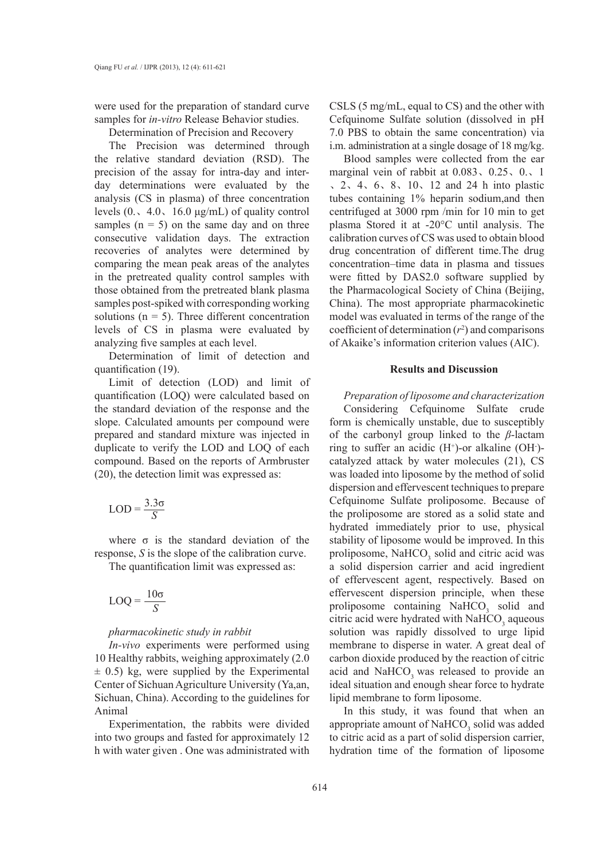were used for the preparation of standard curve samples for *in-vitro* Release Behavior studies.

Determination of Precision and Recovery

The Precision was determined through the relative standard deviation (RSD). The precision of the assay for intra-day and interday determinations were evaluated by the analysis (CS in plasma) of three concentration levels  $(0.410.16.0 \mu g/mL)$  of quality control samples  $(n = 5)$  on the same day and on three consecutive validation days. The extraction recoveries of analytes were determined by comparing the mean peak areas of the analytes in the pretreated quality control samples with those obtained from the pretreated blank plasma samples post-spiked with corresponding working solutions ( $n = 5$ ). Three different concentration levels of CS in plasma were evaluated by analyzing five samples at each level.

Determination of limit of detection and quantification (19).

Limit of detection (LOD) and limit of quantification (LOQ) were calculated based on the standard deviation of the response and the slope. Calculated amounts per compound were prepared and standard mixture was injected in duplicate to verify the LOD and LOQ of each compound. Based on the reports of Armbruster (20), the detection limit was expressed as:

$$
LOD = \frac{3.3\sigma}{S}
$$

where  $\sigma$  is the standard deviation of the response, *S* is the slope of the calibration curve.

The quantification limit was expressed as:

$$
LOQ = \frac{10\sigma}{S}
$$

## *pharmacokinetic study in rabbit*

*In-vivo* experiments were performed using 10 Healthy rabbits, weighing approximately (2.0  $\pm$  0.5) kg, were supplied by the Experimental Center of Sichuan Agriculture University (Ya,an, Sichuan, China). According to the guidelines for Animal

Experimentation, the rabbits were divided into two groups and fasted for approximately 12 h with water given . One was administrated with

CSLS (5 mg/mL, equal to CS) and the other with Cefquinome Sulfate solution (dissolved in pH 7.0 PBS to obtain the same concentration) via i.m. administration at a single dosage of 18 mg/kg.

Blood samples were collected from the ear marginal vein of rabbit at 0.083、0.25、0.、1 、2、4、6、8、10、12 and 24 h into plastic tubes containing 1% heparin sodium,and then centrifuged at 3000 rpm /min for 10 min to get plasma Stored it at -20°C until analysis. The calibration curves of CS was used to obtain blood drug concentration of different time.The drug concentration–time data in plasma and tissues were fitted by DAS2.0 software supplied by the Pharmacological Society of China (Beijing, China). The most appropriate pharmacokinetic model was evaluated in terms of the range of the coefficient of determination  $(r^2)$  and comparisons of Akaike's information criterion values (AIC).

## **Results and Discussion**

*Preparation of liposome and characterization*  Considering Cefquinome Sulfate crude form is chemically unstable, due to susceptibly of the carbonyl group linked to the *β*-lactam ring to suffer an acidic  $(H<sup>+</sup>)$ -or alkaline (OH)catalyzed attack by water molecules (21), CS was loaded into liposome by the method of solid dispersion and effervescent techniques to prepare Cefquinome Sulfate proliposome. Because of the proliposome are stored as a solid state and hydrated immediately prior to use, physical stability of liposome would be improved. In this proliposome,  $NAHCO<sub>3</sub>$  solid and citric acid was a solid dispersion carrier and acid ingredient of effervescent agent, respectively. Based on effervescent dispersion principle, when these proliposome containing  $NAHCO<sub>3</sub>$  solid and citric acid were hydrated with  $NAHCO<sub>3</sub>$  aqueous solution was rapidly dissolved to urge lipid membrane to disperse in water. A great deal of carbon dioxide produced by the reaction of citric acid and  $NAHCO<sub>3</sub>$  was released to provide an ideal situation and enough shear force to hydrate lipid membrane to form liposome.

In this study, it was found that when an appropriate amount of  $NAHCO<sub>3</sub>$  solid was added to citric acid as a part of solid dispersion carrier, hydration time of the formation of liposome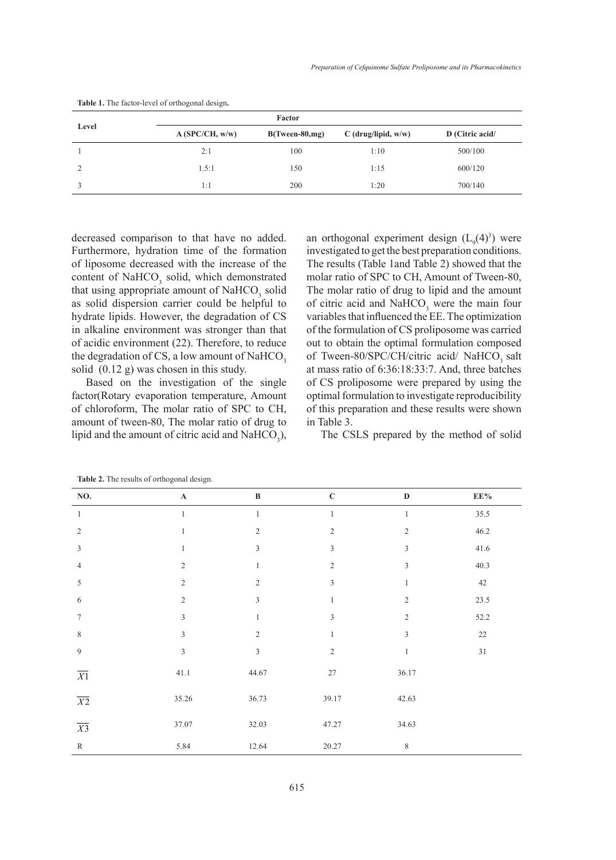| Level |                | Factor            |                       |                 |
|-------|----------------|-------------------|-----------------------|-----------------|
|       | A(SPC/CH, w/w) | $B(Tween-80, mg)$ | $C$ (drug/lipid, w/w) | D (Citric acid/ |
|       | 2:1            | 100               | 1:10                  | 500/100         |
|       | 1.5:1          | 150               | 1:15                  | 600/120         |
|       | 1:1            | 200               | 1:20                  | 700/140         |

**Table 1.** The factor-level of orthogonal design**.**

decreased comparison to that have no added. Furthermore, hydration time of the formation of liposome decreased with the increase of the content of NaHCO<sub>3</sub> solid, which demonstrated that using appropriate amount of  $NAHCO<sub>3</sub>$  solid as solid dispersion carrier could be helpful to hydrate lipids. However, the degradation of CS in alkaline environment was stronger than that of acidic environment (22). Therefore, to reduce the degradation of CS, a low amount of NaHCO<sub>3</sub> solid (0.12 g) was chosen in this study.

Based on the investigation of the single factor(Rotary evaporation temperature, Amount of chloroform, The molar ratio of SPC to CH, amount of tween-80, The molar ratio of drug to lipid and the amount of citric acid and  $\text{NaHCO}_3$ ),

an orthogonal experiment design  $(L_9(4)^3)$  were investigated to get the best preparation conditions. The results (Table 1and Table 2) showed that the molar ratio of SPC to CH, Amount of Tween-80, The molar ratio of drug to lipid and the amount of citric acid and  $NAHCO<sub>3</sub>$  were the main four variables that influenced the EE. The optimization of the formulation of CS proliposome was carried out to obtain the optimal formulation composed of Tween-80/SPC/CH/citric acid/ NaHCO<sub>3</sub> salt at mass ratio of 6:36:18:33:7. And, three batches of CS proliposome were prepared by using the optimal formulation to investigate reproducibility of this preparation and these results were shown in Table 3.

The CSLS prepared by the method of solid

| NO.              | $\check{\phantom{a}}$<br>$\tilde{}$<br>$\mathbf A$ | $\, {\bf B}$   | $\mathbf C$             | $\mathbf D$                 | $\mathrm{EE}\%$ |
|------------------|----------------------------------------------------|----------------|-------------------------|-----------------------------|-----------------|
| $\mathbf{1}$     | $\,1\,$                                            | $\mathbf{1}$   | 1                       | $\mathbf{1}$                | 35.5            |
| $\sqrt{2}$       | $\mathbf{1}$                                       | $\sqrt{2}$     | $\overline{c}$          | $\sqrt{2}$                  | 46.2            |
| $\mathfrak z$    | $\mathbf{1}$                                       | $\mathfrak z$  | $\overline{\mathbf{3}}$ | $\mathfrak{Z}$              | 41.6            |
| $\overline{4}$   | $\sqrt{2}$                                         | $\mathbf{1}$   | $\overline{2}$          | $\ensuremath{\mathfrak{Z}}$ | 40.3            |
| $\sqrt{5}$       | $\sqrt{2}$                                         | $\sqrt{2}$     | 3                       | $\mathbf{1}$                | $42\,$          |
| 6                | $\sqrt{2}$                                         | $\mathfrak z$  | 1                       | $\sqrt{2}$                  | 23.5            |
| $\boldsymbol{7}$ | $\sqrt{3}$                                         | $\mathbf{1}$   | 3                       | $\sqrt{2}$                  | 52.2            |
| $\,$ 8 $\,$      | $\ensuremath{\mathfrak{Z}}$                        | $\sqrt{2}$     | 1                       | $\mathfrak{Z}$              | $22\,$          |
| $\boldsymbol{9}$ | $\sqrt{3}$                                         | $\mathfrak{Z}$ | $\overline{c}$          | $\mathbf{1}$                | $3\sqrt{1}$     |
| $\overline{X}$   | 41.1                                               | 44.67          | $27\,$                  | 36.17                       |                 |
| $\overline{X2}$  | 35.26                                              | 36.73          | 39.17                   | 42.63                       |                 |
| $\overline{X3}$  | 37.07                                              | 32.03          | 47.27                   | 34.63                       |                 |
| ${\bf R}$        | 5.84                                               | 12.64          | 20.27                   | $\,$ 8 $\,$                 |                 |

**Table 2.** The results of orthogonal design.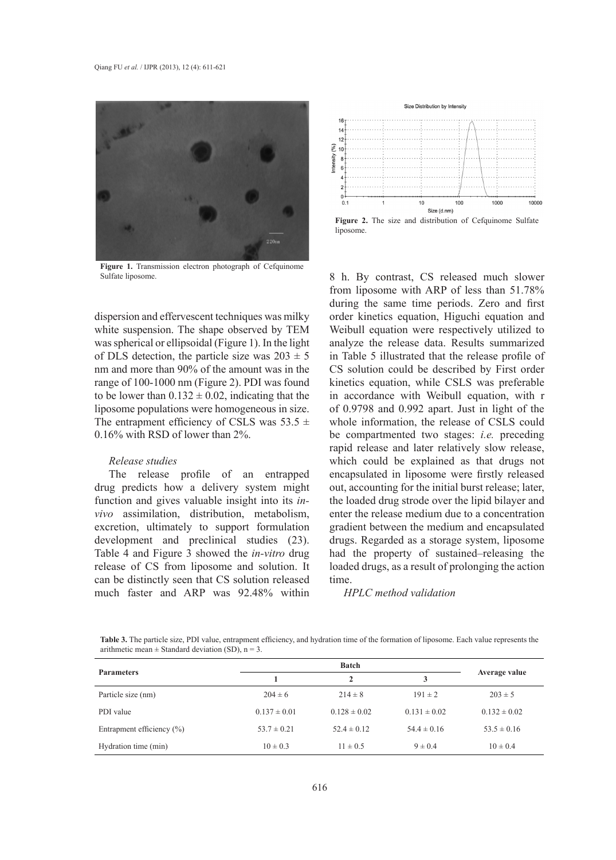

**Figure 1.** Transmission electron photograph of Cefquinome Sulfate liposome.

dispersion and effervescent techniques was milky white suspension. The shape observed by TEM was spherical or ellipsoidal (Figure 1). In the light of DLS detection, the particle size was  $203 \pm 5$ nm and more than 90% of the amount was in the range of 100-1000 nm (Figure 2). PDI was found to be lower than  $0.132 \pm 0.02$ , indicating that the liposome populations were homogeneous in size. The entrapment efficiency of CSLS was  $53.5 \pm$ 0.16% with RSD of lower than 2%.

#### *Release studies*

The release profile of an entrapped drug predicts how a delivery system might function and gives valuable insight into its *invivo* assimilation, distribution, metabolism, excretion, ultimately to support formulation development and preclinical studies (23). Table 4 and Figure 3 showed the *in-vitro* drug release of CS from liposome and solution. It can be distinctly seen that CS solution released much faster and ARP was 92.48% within



**Figure 2.** The size and distribution of Cefquinome Sulfate liposome.

8 h. By contrast, CS released much slower from liposome with ARP of less than 51.78% during the same time periods. Zero and first order kinetics equation, Higuchi equation and Weibull equation were respectively utilized to analyze the release data. Results summarized in Table 5 illustrated that the release profile of CS solution could be described by First order kinetics equation, while CSLS was preferable in accordance with Weibull equation, with r of 0.9798 and 0.992 apart. Just in light of the whole information, the release of CSLS could be compartmented two stages: *i.e.* preceding rapid release and later relatively slow release, which could be explained as that drugs not encapsulated in liposome were firstly released out, accounting for the initial burst release; later, the loaded drug strode over the lipid bilayer and enter the release medium due to a concentration gradient between the medium and encapsulated drugs. Regarded as a storage system, liposome had the property of sustained–releasing the loaded drugs, as a result of prolonging the action time.

#### *HPLC method validation*

**Table 3.** The particle size, PDI value, entrapment efficiency, and hydration time of the formation of liposome. Each value represents the arithmetic mean  $\pm$  Standard deviation (SD), n = 3.

| <b>Parameters</b>             | <b>Batch</b>     |                  |                  |                  |
|-------------------------------|------------------|------------------|------------------|------------------|
|                               |                  | $\mathbf{2}$     |                  | Average value    |
| Particle size (nm)            | $204 \pm 6$      | $214 \pm 8$      | $191 \pm 2$      | $203 \pm 5$      |
| PDI value                     | $0.137 \pm 0.01$ | $0.128 \pm 0.02$ | $0.131 \pm 0.02$ | $0.132 \pm 0.02$ |
| Entrapment efficiency $(\% )$ | $53.7 \pm 0.21$  | $52.4 \pm 0.12$  | $54.4 \pm 0.16$  | $53.5 \pm 0.16$  |
| Hydration time (min)          | $10 \pm 0.3$     | $11 \pm 0.5$     | $9 \pm 0.4$      | $10 \pm 0.4$     |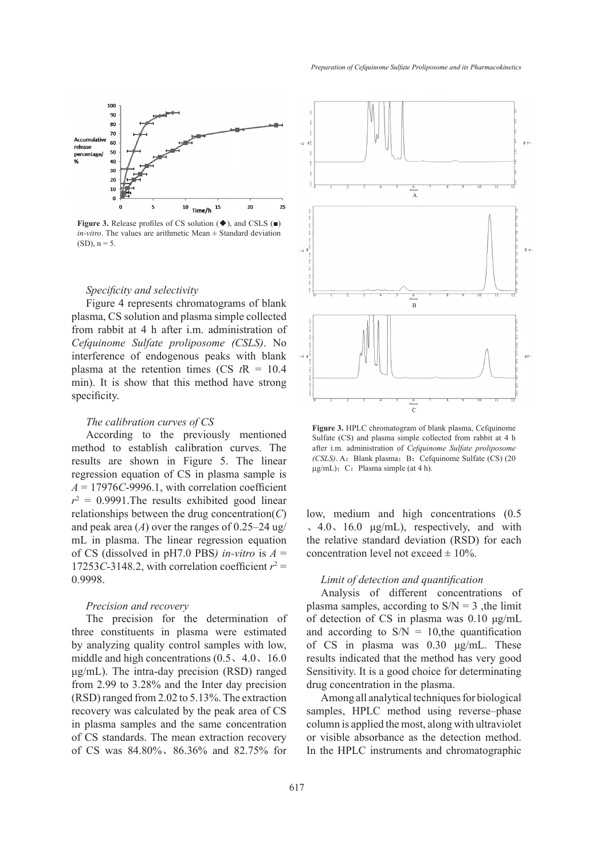

**Figure 3.** Release profiles of CS solution (◆), and CSLS (■) *in-vitro*. The values are arithmetic Mean ± Standard deviation  $(SD)$ ,  $n = 5$ .

### *Specificity and selectivity*

Figure 4 represents chromatograms of blank plasma, CS solution and plasma simple collected from rabbit at 4 h after i.m. administration of *Cefquinome Sulfate proliposome (CSLS)*. No interference of endogenous peaks with blank plasma at the retention times (CS  $tR = 10.4$ ) min). It is show that this method have strong specificity.

#### *The calibration curves of CS*

According to the previously mentioned method to establish calibration curves. The results are shown in Figure 5. The linear regression equation of CS in plasma sample is  $A = 17976C - 9996.1$ , with correlation coefficient  $r^2 = 0.9991$ . The results exhibited good linear relationships between the drug concentration(*C*) and peak area  $(A)$  over the ranges of 0.25–24 ug/ mL in plasma. The linear regression equation of CS (dissolved in pH7.0 PBS*) in-vitro* is *A* = 17253*C*-3148.2, with correlation coefficient  $r^2 =$ 0.9998.

#### *Precision and recovery*

The precision for the determination of three constituents in plasma were estimated by analyzing quality control samples with low, middle and high concentrations (0.5、4.0、16.0 μg/mL). The intra-day precision (RSD) ranged from 2.99 to 3.28% and the Inter day precision (RSD) ranged from 2.02 to 5.13%. The extraction recovery was calculated by the peak area of CS in plasma samples and the same concentration of CS standards. The mean extraction recovery of CS was 84.80%、86.36% and 82.75% for



**Figure 3.** HPLC chromatogram of blank plasma, Cefquinome Sulfate (CS) and plasma simple collected from rabbit at 4 h after i.m. administration of *Cefquinome Sulfate proliposome (CSLS)*. A: Blank plasma; B: Cefquinome Sulfate (CS) (20  $\mu$ g/mL); C: Plasma simple (at 4 h).

low, medium and high concentrations (0.5 、4.0、16.0 μg/mL), respectively, and with the relative standard deviation (RSD) for each concentration level not exceed  $\pm$  10%.

## *Limit of detection and quantification*

Analysis of different concentrations of plasma samples, according to  $S/N = 3$ , the limit of detection of CS in plasma was 0.10 μg/mL and according to  $S/N = 10$ , the quantification of CS in plasma was 0.30 μg/mL. These results indicated that the method has very good Sensitivity. It is a good choice for determinating drug concentration in the plasma.

Among all analytical techniques for biological samples, HPLC method using reverse–phase column is applied the most, along with ultraviolet or visible absorbance as the detection method. In the HPLC instruments and chromatographic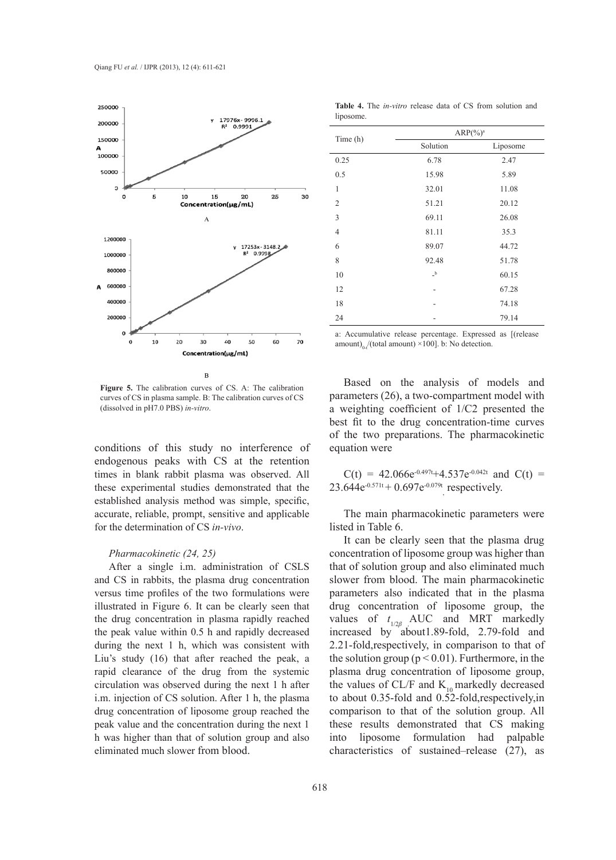

 $\overline{B}$ 

**Figure 5.** The calibration curves of CS. A: The calibration curves of CS in plasma sample. B: The calibration curves of CS (dissolved in pH7.0 PBS) *in-vitro*.

conditions of this study no interference of endogenous peaks with CS at the retention times in blank rabbit plasma was observed. All these experimental studies demonstrated that the established analysis method was simple, specific, accurate, reliable, prompt, sensitive and applicable for the determination of CS *in-vivo*.

### *Pharmacokinetic (24, 25)*

After a single i.m. administration of CSLS and CS in rabbits, the plasma drug concentration versus time profiles of the two formulations were illustrated in Figure 6. It can be clearly seen that the drug concentration in plasma rapidly reached the peak value within 0.5 h and rapidly decreased during the next 1 h, which was consistent with Liu's study (16) that after reached the peak, a rapid clearance of the drug from the systemic circulation was observed during the next 1 h after i.m. injection of CS solution. After 1 h, the plasma drug concentration of liposome group reached the peak value and the concentration during the next 1 h was higher than that of solution group and also eliminated much slower from blood.

|                | $ARP(%)^a$ |          |  |
|----------------|------------|----------|--|
| Time (h)       | Solution   | Liposome |  |
| 0.25           | 6.78       | 2.47     |  |
| 0.5            | 15.98      | 5.89     |  |
| 1              | 32.01      | 11.08    |  |
| $\overline{2}$ | 51.21      | 20.12    |  |
| 3              | 69.11      | 26.08    |  |
| $\overline{4}$ | 81.11      | 35.3     |  |
| 6              | 89.07      | 44.72    |  |
| 8              | 92.48      | 51.78    |  |
| 10             | $\_b$      | 60.15    |  |
| 12             |            | 67.28    |  |
| 18             |            | 74.18    |  |
| 24             |            | 79.14    |  |

**Table 4.** The *in-vitro* release data of CS from solution and liposome.

a: Accumulative release percentage. Expressed as [(release amount) $_0$  /(total amount) ×100]. b: No detection.

Based on the analysis of models and parameters (26), a two-compartment model with a weighting coefficient of 1/C2 presented the best fit to the drug concentration-time curves of the two preparations. The pharmacokinetic equation were

 $C(t) = 42.066e^{-0.497t} + 4.537e^{-0.042t}$  and  $C(t) =$ 23.644 $e^{-0.571t}$  + 0.697 $e^{-0.079t}$  respectively.

The main pharmacokinetic parameters were listed in Table 6.

It can be clearly seen that the plasma drug concentration of liposome group was higher than that of solution group and also eliminated much slower from blood. The main pharmacokinetic parameters also indicated that in the plasma drug concentration of liposome group, the values of *t* 1/2*β ,*AUC and MRT markedly increased by about1.89-fold, 2.79-fold and 2.21-fold,respectively, in comparison to that of the solution group ( $p < 0.01$ ). Furthermore, in the plasma drug concentration of liposome group, the values of CL/F and  $K_{10}$  markedly decreased to about 0.35-fold and 0.52-fold,respectively,in comparison to that of the solution group. All these results demonstrated that CS making into liposome formulation had palpable characteristics of sustained–release (27), as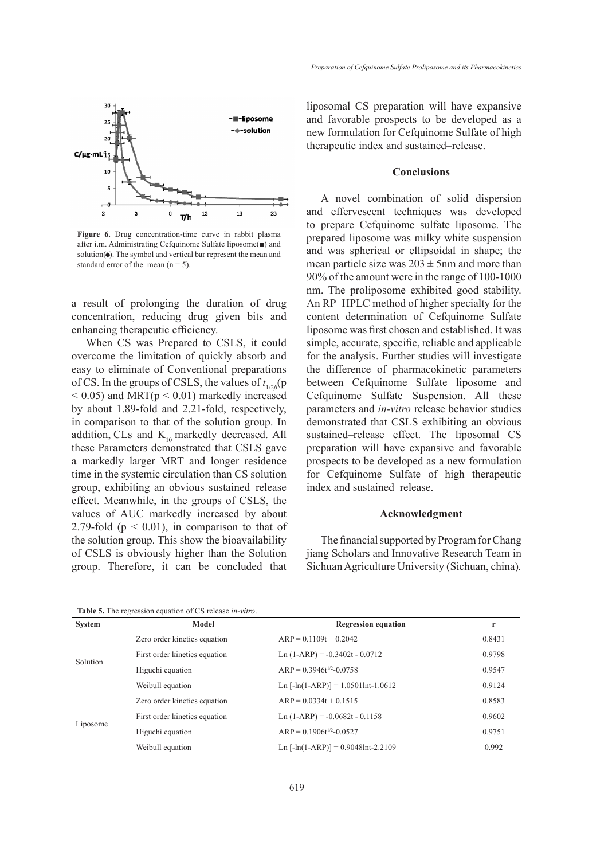

**Figure 6.** Drug concentration-time curve in rabbit plasma after i.m. Administrating Cefquinome Sulfate liposome(■) and solution $(\bullet)$ . The symbol and vertical bar represent the mean and standard error of the mean  $(n = 5)$ .

a result of prolonging the duration of drug concentration, reducing drug given bits and enhancing therapeutic efficiency.

When CS was Prepared to CSLS, it could overcome the limitation of quickly absorb and easy to eliminate of Conventional preparations of CS. In the groups of CSLS, the values of  $t_{1/2β}$ (p  $<$  0.05) and MRT( $p$   $<$  0.01) markedly increased by about 1.89-fold and 2.21-fold, respectively, in comparison to that of the solution group. In addition, CLs and  $K_{10}$  markedly decreased. All these Parameters demonstrated that CSLS gave a markedly larger MRT and longer residence time in the systemic circulation than CS solution group, exhibiting an obvious sustained–release effect. Meanwhile, in the groups of CSLS, the values of AUC markedly increased by about 2.79-fold ( $p < 0.01$ ), in comparison to that of the solution group. This show the bioavailability of CSLS is obviously higher than the Solution group. Therefore, it can be concluded that liposomal CS preparation will have expansive and favorable prospects to be developed as a new formulation for Cefquinome Sulfate of high therapeutic index and sustained–release.

## **Conclusions**

A novel combination of solid dispersion and effervescent techniques was developed to prepare Cefquinome sulfate liposome. The prepared liposome was milky white suspension and was spherical or ellipsoidal in shape; the mean particle size was  $203 \pm 5$ nm and more than 90% of the amount were in the range of 100-1000 nm. The proliposome exhibited good stability. An RP–HPLC method of higher specialty for the content determination of Cefquinome Sulfate liposome was first chosen and established. It was simple, accurate, specific, reliable and applicable for the analysis. Further studies will investigate the difference of pharmacokinetic parameters between Cefquinome Sulfate liposome and Cefquinome Sulfate Suspension. All these parameters and *in-vitro* release behavior studies demonstrated that CSLS exhibiting an obvious sustained–release effect. The liposomal CS preparation will have expansive and favorable prospects to be developed as a new formulation for Cefquinome Sulfate of high therapeutic index and sustained–release.

### **Acknowledgment**

The financial supported by Program for Chang jiang Scholars and Innovative Research Team in Sichuan Agriculture University (Sichuan, china)*.*

**System Model Regression equation r** Solution Zero order kinetics equation  $ARP = 0.1109t + 0.2042$   $0.8431$ First order kinetics equation  $\text{Ln}(1-\text{ARP}) = -0.3402t - 0.0712$  0.9798 Higuchi equation  $ARP = 0.3946t^{1/2} - 0.0758$  0.9547 Weibull equation  $\text{Ln} \left[ -\ln(1 - \text{ARP}) \right] = 1.0501 \text{Int} - 1.0612$  0.9124 Liposome Zero order kinetics equation  $ARP = 0.0334t + 0.1515$  0.8583 First order kinetics equation Ln (1-ARP) = -0.0682t - 0.1158 0.9602 Higuchi equation  $ARP = 0.1906t^{1/2} - 0.0527$  0.9751 Weibull equation Ln [-ln(1-ARP)] = 0.9048lnt-2.2109 0.992

**Table 5.** The regression equation of CS release *in-vitro*.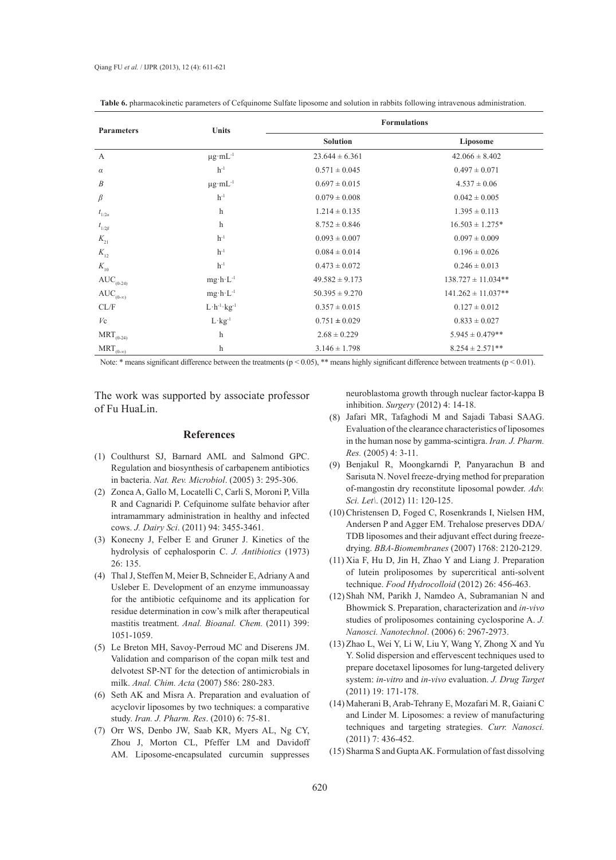| <b>Parameters</b>              | <b>Units</b>                   | <b>Formulations</b> |                        |  |
|--------------------------------|--------------------------------|---------------------|------------------------|--|
|                                |                                | <b>Solution</b>     | Liposome               |  |
| $\mathbf{A}$                   | $\mu g \cdot mL^{-1}$          | $23.644 \pm 6.361$  | $42.066 \pm 8.402$     |  |
| $\alpha$                       | $h^{-1}$                       | $0.571 \pm 0.045$   | $0.497 \pm 0.071$      |  |
| $\boldsymbol{B}$               | $\mu$ g·m $L^{-1}$             | $0.697 \pm 0.015$   | $4.537 \pm 0.06$       |  |
| $\beta$                        | $h^{-1}$                       | $0.079 \pm 0.008$   | $0.042 \pm 0.005$      |  |
| $t_{1/2a}$                     | h                              | $1.214 \pm 0.135$   | $1.395 \pm 0.113$      |  |
| $t_{1/2\beta}$                 | h                              | $8.752 \pm 0.846$   | $16.503 \pm 1.275*$    |  |
| $K_{21}$                       | $h^{-1}$                       | $0.093 \pm 0.007$   | $0.097 \pm 0.009$      |  |
| $K_{12}$                       | $h^{-1}$                       | $0.084 \pm 0.014$   | $0.196 \pm 0.026$      |  |
| $K_{10}$                       | $h^{-1}$                       | $0.473 \pm 0.072$   | $0.246 \pm 0.013$      |  |
| $\mathrm{AUC}_{(0\text{-}24)}$ | $mg \cdot h \cdot L^{-1}$      | $49.582 \pm 9.173$  | $138.727 \pm 11.034**$ |  |
| $AUC_{(0-\infty)}$             | $mg \cdot h \cdot L^{-1}$      | $50.395 \pm 9.270$  | $141.262 \pm 11.037**$ |  |
| CL/F                           | $L \cdot h^{-1} \cdot kg^{-1}$ | $0.357 \pm 0.015$   | $0.127 \pm 0.012$      |  |
| $V_{\rm C}$                    | $L \cdot kg^{-1}$              | $0.751 \pm 0.029$   | $0.833 \pm 0.027$      |  |
| $\mathrm{MRT}_{(0\text{-}24)}$ | h                              | $2.68 \pm 0.229$    | $5.945 \pm 0.479**$    |  |
| $MRT_{(0-\infty)}$             | h                              | $3.146 \pm 1.798$   | $8.254 \pm 2.571**$    |  |

**Table 6.** pharmacokinetic parameters of Cefquinome Sulfate liposome and solution in rabbits following intravenous administration.

Note: \* means significant difference between the treatments ( $p < 0.05$ ), \*\* means highly significant difference between treatments ( $p < 0.01$ ).

The work was supported by associate professor of Fu HuaLin.

#### **References**

- Coulthurst SJ, Barnard AML and Salmond GPC. (1) Regulation and biosynthesis of carbapenem antibiotics in bacteria. *Nat. Rev. Microbiol*. (2005) 3: 295-306.
- (2) Zonca A, Gallo M, Locatelli C, Carli S, Moroni P, Villa R and Cagnaridi P. Cefquinome sulfate behavior after intramammary administration in healthy and infected cows. *J. Dairy Sci*. (2011) 94: 3455-3461.
- $(3)$  Konecny J, Felber E and Gruner J. Kinetics of the hydrolysis of cephalosporin C. *J. Antibiotics* (1973) 26: 135.
- Thal J, Steffen M, Meier B, Schneider E, Adriany A and (4) Usleber E. Development of an enzyme immunoassay for the antibiotic cefquinome and its application for residue determination in cow's milk after therapeutical mastitis treatment. *Anal. Bioanal. Chem.* (2011) 399: 1051-1059.
- Le Breton MH, Savoy-Perroud MC and Diserens JM. (5) Validation and comparison of the copan milk test and delvotest SP-NT for the detection of antimicrobials in milk. *Anal. Chim. Acta* (2007) 586: 280-283.
- (6) Seth AK and Misra A. Preparation and evaluation of acyclovir liposomes by two techniques: a comparative study. *Iran. J. Pharm. Res*. (2010) 6: 75-81.
- (7) Orr WS, Denbo JW, Saab KR, Myers AL, Ng CY, Zhou J, Morton CL, Pfeffer LM and Davidoff AM. Liposome-encapsulated curcumin suppresses

neuroblastoma growth through nuclear factor-kappa B inhibition. *Surgery* (2012) 4: 14-18.

- Jafari MR, Tafaghodi M and Sajadi Tabasi SAAG. (8) Evaluation of the clearance characteristics of liposomes in the human nose by gamma-scintigra. *Iran. J. Pharm. Res.* (2005) 4: 3-11.
- Benjakul R, Moongkarndi P, Panyarachun B and (9) Sarisuta N. Novel freeze-drying method for preparation of-mangostin dry reconstitute liposomal powder. *Adv. Sci. Let\*. (2012) 11: 120-125.
- (10) Christensen D, Foged C, Rosenkrands I, Nielsen HM, Andersen P and Agger EM. Trehalose preserves DDA/ TDB liposomes and their adjuvant effect during freezedrying. *BBA-Biomembranes* (2007) 1768: 2120-2129.
- $(11)$  Xia F, Hu D, Jin H, Zhao Y and Liang J. Preparation of lutein proliposomes by supercritical anti-solvent technique. *Food Hydrocolloid* (2012) 26: 456-463.
- (12) Shah NM, Parikh J, Namdeo A, Subramanian N and Bhowmick S. Preparation, characterization and *in-vivo* studies of proliposomes containing cyclosporine A. *J. Nanosci. Nanotechnol*. (2006) 6: 2967-2973.
- (13) Zhao L, Wei Y, Li W, Liu Y, Wang Y, Zhong X and Yu Y. Solid dispersion and effervescent techniques used to prepare docetaxel liposomes for lung-targeted delivery system: *in-vitro* and *in-vivo* evaluation. *J. Drug Target* (2011) 19: 171-178.
- Maherani B, Arab-Tehrany E, Mozafari M. R, Gaiani C (14) and Linder M. Liposomes: a review of manufacturing techniques and targeting strategies. *Curr. Nanosci.*  (2011) 7: 436-452.
- (15) Sharma S and Gupta AK. Formulation of fast dissolving